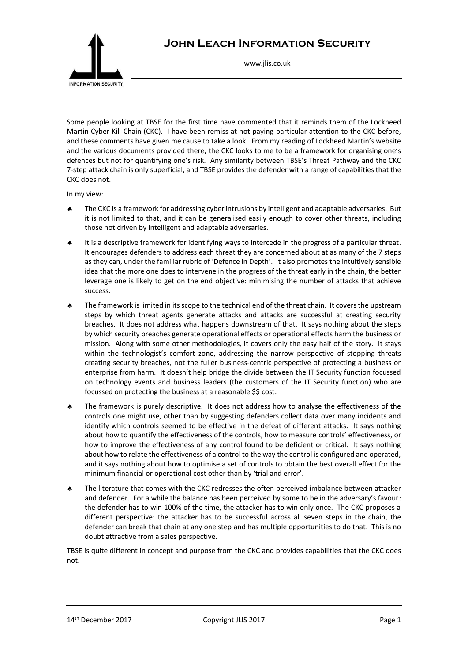

## **John Leach Information Security**

www.jlis.co.uk

Some people looking at TBSE for the first time have commented that it reminds them of the Lockheed Martin Cyber Kill Chain (CKC). I have been remiss at not paying particular attention to the CKC before, and these comments have given me cause to take a look. From my reading of Lockheed Martin's website and the various documents provided there, the CKC looks to me to be a framework for organising one's defences but not for quantifying one's risk. Any similarity between TBSE's Threat Pathway and the CKC 7-step attack chain is only superficial, and TBSE provides the defender with a range of capabilities that the CKC does not.

In my view:

- The CKC is a framework for addressing cyber intrusions by intelligent and adaptable adversaries. But it is not limited to that, and it can be generalised easily enough to cover other threats, including those not driven by intelligent and adaptable adversaries.
- It is a descriptive framework for identifying ways to intercede in the progress of a particular threat. It encourages defenders to address each threat they are concerned about at as many of the 7 steps as they can, under the familiar rubric of 'Defence in Depth'. It also promotes the intuitively sensible idea that the more one does to intervene in the progress of the threat early in the chain, the better leverage one is likely to get on the end objective: minimising the number of attacks that achieve success.
- The framework is limited in its scope to the technical end of the threat chain. It covers the upstream steps by which threat agents generate attacks and attacks are successful at creating security breaches. It does not address what happens downstream of that. It says nothing about the steps by which security breaches generate operational effects or operational effects harm the business or mission. Along with some other methodologies, it covers only the easy half of the story. It stays within the technologist's comfort zone, addressing the narrow perspective of stopping threats creating security breaches, not the fuller business-centric perspective of protecting a business or enterprise from harm. It doesn't help bridge the divide between the IT Security function focussed on technology events and business leaders (the customers of the IT Security function) who are focussed on protecting the business at a reasonable \$\$ cost.
- The framework is purely descriptive. It does not address how to analyse the effectiveness of the controls one might use, other than by suggesting defenders collect data over many incidents and identify which controls seemed to be effective in the defeat of different attacks. It says nothing about how to quantify the effectiveness of the controls, how to measure controls' effectiveness, or how to improve the effectiveness of any control found to be deficient or critical. It says nothing about how to relate the effectiveness of a control to the way the control is configured and operated, and it says nothing about how to optimise a set of controls to obtain the best overall effect for the minimum financial or operational cost other than by 'trial and error'.
- The literature that comes with the CKC redresses the often perceived imbalance between attacker and defender. For a while the balance has been perceived by some to be in the adversary's favour: the defender has to win 100% of the time, the attacker has to win only once. The CKC proposes a different perspective: the attacker has to be successful across all seven steps in the chain, the defender can break that chain at any one step and has multiple opportunities to do that. This is no doubt attractive from a sales perspective.

TBSE is quite different in concept and purpose from the CKC and provides capabilities that the CKC does not.